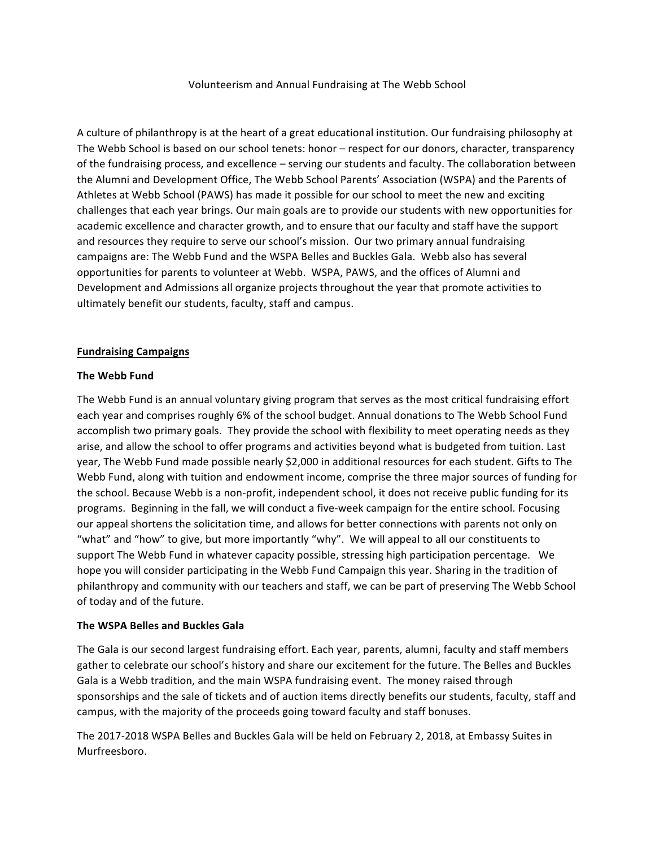Volunteerism and Annual Fundraising at The Webb School

A culture of philanthropy is at the heart of a great educational institution. Our fundraising philosophy at The Webb School is based on our school tenets: honor – respect for our donors, character, transparency of the fundraising process, and excellence – serving our students and faculty. The collaboration between the Alumni and Development Office, The Webb School Parents' Association (WSPA) and the Parents of Athletes at Webb School (PAWS) has made it possible for our school to meet the new and exciting challenges that each year brings. Our main goals are to provide our students with new opportunities for academic excellence and character growth, and to ensure that our faculty and staff have the support and resources they require to serve our school's mission. Our two primary annual fundraising campaigns are: The Webb Fund and the WSPA Belles and Buckles Gala. Webb also has several opportunities for parents to volunteer at Webb. WSPA, PAWS, and the offices of Alumni and Development and Admissions all organize projects throughout the year that promote activities to ultimately benefit our students, faculty, staff and campus.

#### **Fundraising Campaigns**

### **The Webb Fund**

The Webb Fund is an annual voluntary giving program that serves as the most critical fundraising effort each year and comprises roughly 6% of the school budget. Annual donations to The Webb School Fund accomplish two primary goals. They provide the school with flexibility to meet operating needs as they arise, and allow the school to offer programs and activities beyond what is budgeted from tuition. Last year, The Webb Fund made possible nearly \$2,000 in additional resources for each student. Gifts to The Webb Fund, along with tuition and endowment income, comprise the three major sources of funding for the school. Because Webb is a non-profit, independent school, it does not receive public funding for its programs. Beginning in the fall, we will conduct a five-week campaign for the entire school. Focusing our appeal shortens the solicitation time, and allows for better connections with parents not only on "what" and "how" to give, but more importantly "why". We will appeal to all our constituents to support The Webb Fund in whatever capacity possible, stressing high participation percentage. We hope you will consider participating in the Webb Fund Campaign this year. Sharing in the tradition of philanthropy and community with our teachers and staff, we can be part of preserving The Webb School of today and of the future.

#### **The WSPA Belles and Buckles Gala**

The Gala is our second largest fundraising effort. Each year, parents, alumni, faculty and staff members gather to celebrate our school's history and share our excitement for the future. The Belles and Buckles Gala is a Webb tradition, and the main WSPA fundraising event. The money raised through sponsorships and the sale of tickets and of auction items directly benefits our students, faculty, staff and campus, with the majority of the proceeds going toward faculty and staff bonuses.

The 2017-2018 WSPA Belles and Buckles Gala will be held on February 2, 2018, at Embassy Suites in Murfreesboro.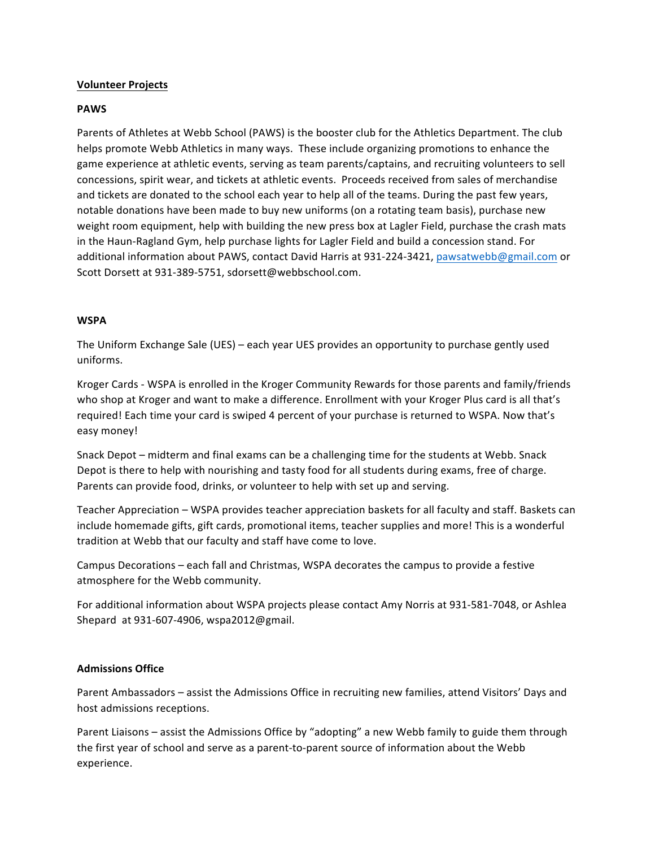## **Volunteer Projects**

### **PAWS**

Parents of Athletes at Webb School (PAWS) is the booster club for the Athletics Department. The club helps promote Webb Athletics in many ways. These include organizing promotions to enhance the game experience at athletic events, serving as team parents/captains, and recruiting volunteers to sell concessions, spirit wear, and tickets at athletic events. Proceeds received from sales of merchandise and tickets are donated to the school each year to help all of the teams. During the past few years, notable donations have been made to buy new uniforms (on a rotating team basis), purchase new weight room equipment, help with building the new press box at Lagler Field, purchase the crash mats in the Haun-Ragland Gym, help purchase lights for Lagler Field and build a concession stand. For additional information about PAWS, contact David Harris at 931-224-3421, pawsatwebb@gmail.com or Scott Dorsett at 931-389-5751, sdorsett@webbschool.com.

### **WSPA**

The Uniform Exchange Sale (UES) – each year UES provides an opportunity to purchase gently used uniforms.

Kroger Cards - WSPA is enrolled in the Kroger Community Rewards for those parents and family/friends who shop at Kroger and want to make a difference. Enrollment with your Kroger Plus card is all that's required! Each time your card is swiped 4 percent of your purchase is returned to WSPA. Now that's easy money!

Snack Depot – midterm and final exams can be a challenging time for the students at Webb. Snack Depot is there to help with nourishing and tasty food for all students during exams, free of charge. Parents can provide food, drinks, or volunteer to help with set up and serving.

Teacher Appreciation – WSPA provides teacher appreciation baskets for all faculty and staff. Baskets can include homemade gifts, gift cards, promotional items, teacher supplies and more! This is a wonderful tradition at Webb that our faculty and staff have come to love.

Campus Decorations – each fall and Christmas, WSPA decorates the campus to provide a festive atmosphere for the Webb community.

For additional information about WSPA projects please contact Amy Norris at 931-581-7048, or Ashlea Shepard at 931-607-4906, wspa2012@gmail.

## **Admissions Office**

Parent Ambassadors – assist the Admissions Office in recruiting new families, attend Visitors' Days and host admissions receptions.

Parent Liaisons – assist the Admissions Office by "adopting" a new Webb family to guide them through the first year of school and serve as a parent-to-parent source of information about the Webb experience.